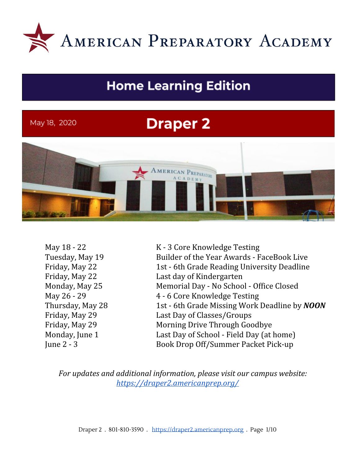

# **Home Learning Edition**

#### May 18, 2020

# **Draper 2**



May 18 - 22 K - 3 Core Knowledge Testing Tuesday, May 19 Builder of the Year Awards - FaceBook Live Friday, May 22 1st - 6th Grade Reading University Deadline Friday, May 22 Last day of Kindergarten Monday, May 25 Memorial Day - No School - Office Closed May 26 - 29 4 - 6 Core Knowledge Testing Thursday, May 28 1st - 6th Grade Missing Work Deadline by *NOON* Friday, May 29 Last Day of Classes/Groups Friday, May 29 Morning Drive Through Goodbye Monday, June 1 Last Day of School - Field Day (at home) June 2 - 3 Book Drop Off/Summer Packet Pick-up

*For updates and additional information, please visit our campus website: <https://draper2.americanprep.org/>*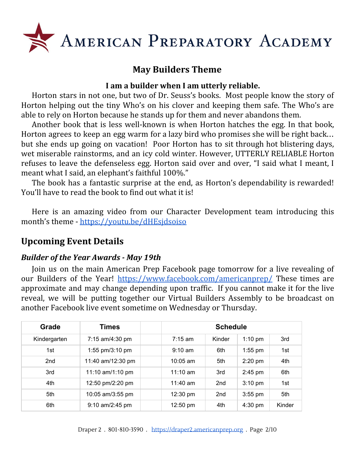

## **May Builders Theme**

#### **I am a builder when I am utterly reliable.**

Horton stars in not one, but two of Dr. Seuss's books. Most people know the story of Horton helping out the tiny Who's on his clover and keeping them safe. The Who's are able to rely on Horton because he stands up for them and never abandons them.

Another book that is less well-known is when Horton hatches the egg. In that book, Horton agrees to keep an egg warm for a lazy bird who promises she will be right back… but she ends up going on vacation! Poor Horton has to sit through hot blistering days, wet miserable rainstorms, and an icy cold winter. However, UTTERLY RELIABLE Horton refuses to leave the defenseless egg. Horton said over and over, "I said what I meant, I meant what I said, an elephant's faithful 100%."

The book has a fantastic surprise at the end, as Horton's dependability is rewarded! You'll have to read the book to find out what it is!

Here is an amazing video from our Character Development team introducing this month's theme - <https://youtu.be/dHEsjdsoiso>

## **Upcoming Event Details**

#### *Builder of the Year Awards - May 19th*

Join us on the main American Prep Facebook page tomorrow for a live revealing of our Builders of the Year! <https://www.facebook.com/americanprep/> These times are approximate and may change depending upon traffic. If you cannot make it for the live reveal, we will be putting together our Virtual Builders Assembly to be broadcast on another Facebook live event sometime on Wednesday or Thursday.

| Grade           | Times              |                    | <b>Schedule</b> |                   |        |  |
|-----------------|--------------------|--------------------|-----------------|-------------------|--------|--|
| Kindergarten    | 7:15 am/4:30 pm    | $7:15 \text{ am}$  | Kinder          | $1:10$ pm         | 3rd    |  |
| 1st             | 1:55 pm/3:10 pm    | $9:10 \text{ am}$  | 6th             | $1:55$ pm         | 1st    |  |
| 2 <sub>nd</sub> | 11:40 am/12:30 pm  | $10:05$ am         | 5th             | $2:20$ pm         | 4th    |  |
| 3rd             | 11:10 $am/1:10$ pm | $11:10$ am         | 3rd             | $2:45$ pm         | 6th    |  |
| 4th             | 12:50 pm/2:20 pm   | 11:40 am           | 2 <sub>nd</sub> | $3:10 \text{ pm}$ | 1st    |  |
| 5th             | 10:05 am/3:55 pm   | $12:30 \text{ pm}$ | 2 <sub>nd</sub> | $3:55$ pm         | 5th    |  |
| 6th             | $9:10$ am/2:45 pm  | $12:50 \text{ pm}$ | 4th             | $4:30$ pm         | Kinder |  |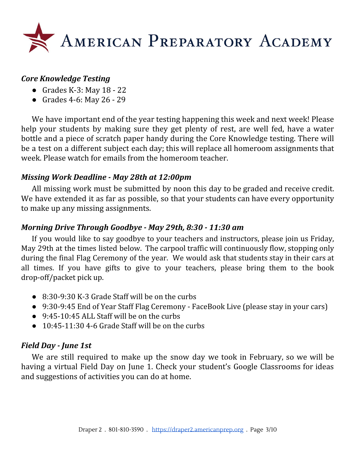

#### *Core Knowledge Testing*

- $\bullet$  Grades K-3: May 18 22
- Grades 4-6: May 26 29

We have important end of the year testing happening this week and next week! Please help your students by making sure they get plenty of rest, are well fed, have a water bottle and a piece of scratch paper handy during the Core Knowledge testing. There will be a test on a different subject each day; this will replace all homeroom assignments that week. Please watch for emails from the homeroom teacher.

#### *Missing Work Deadline - May 28th at 12:00pm*

All missing work must be submitted by noon this day to be graded and receive credit. We have extended it as far as possible, so that your students can have every opportunity to make up any missing assignments.

#### *Morning Drive Through Goodbye - May 29th, 8:30 - 11:30 am*

If you would like to say goodbye to your teachers and instructors, please join us Friday, May 29th at the times listed below. The carpool traffic will continuously flow, stopping only during the final Flag Ceremony of the year. We would ask that students stay in their cars at all times. If you have gifts to give to your teachers, please bring them to the book drop-off/packet pick up.

- 8:30-9:30 K-3 Grade Staff will be on the curbs
- 9:30-9:45 End of Year Staff Flag Ceremony FaceBook Live (please stay in your cars)
- 9:45-10:45 ALL Staff will be on the curbs
- $\bullet$  10:45-11:30 4-6 Grade Staff will be on the curbs

#### *Field Day - June 1st*

We are still required to make up the snow day we took in February, so we will be having a virtual Field Day on June 1. Check your student's Google Classrooms for ideas and suggestions of activities you can do at home.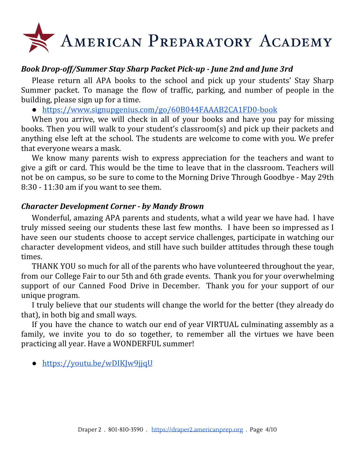# AMERICAN PREPARATORY ACADEMY

#### *Book Drop-off/Summer Stay Sharp Packet Pick-up - June 2nd and June 3rd*

Please return all APA books to the school and pick up your students' Stay Sharp Summer packet. To manage the flow of traffic, parking, and number of people in the building, please sign up for a time.

● <https://www.signupgenius.com/go/60B044FAAAB2CA1FD0-book>

When you arrive, we will check in all of your books and have you pay for missing books. Then you will walk to your student's classroom(s) and pick up their packets and anything else left at the school. The students are welcome to come with you. We prefer that everyone wears a mask.

We know many parents wish to express appreciation for the teachers and want to give a gift or card. This would be the time to leave that in the classroom. Teachers will not be on campus, so be sure to come to the Morning Drive Through Goodbye - May 29th 8:30 - 11:30 am if you want to see them.

#### *Character Development Corner - by Mandy Brown*

Wonderful, amazing APA parents and students, what a wild year we have had. I have truly missed seeing our students these last few months. I have been so impressed as I have seen our students choose to accept service challenges, participate in watching our character development videos, and still have such builder attitudes through these tough times.

THANK YOU so much for all of the parents who have volunteered throughout the year, from our College Fair to our 5th and 6th grade events. Thank you for your overwhelming support of our Canned Food Drive in December. Thank you for your support of our unique program.

I truly believe that our students will change the world for the better (they already do that), in both big and small ways.

If you have the chance to watch our end of year VIRTUAL culminating assembly as a family, we invite you to do so together, to remember all the virtues we have been practicing all year. Have a WONDERFUL summer!

• <https://youtu.be/wDIKJw9jjqU>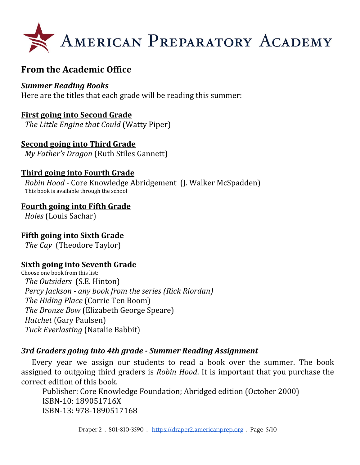

## **From the Academic Office**

#### *Summer Reading Books*

Here are the titles that each grade will be reading this summer:

#### **First going into Second Grade**

*The Little Engine that Could* (Watty Piper)

#### **Second going into Third Grade**

*My Father's Dragon* (Ruth Stiles Gannett)

#### **Third going into Fourth Grade**

*Robin Hood -* Core Knowledge Abridgement (J. Walker McSpadden) This book is available through the school

#### **Fourth going into Fifth Grade**

*Holes* (Louis Sachar)

#### **Fifth going into Sixth Grade**

*The Cay* (Theodore Taylor)

#### **Sixth going into Seventh Grade**

Choose one book from this list: *The Outsiders* (S.E. Hinton) *Percy Jackson - any book from the series (Rick Riordan) The Hiding Place* (Corrie Ten Boom) *The Bronze Bow* (Elizabeth George Speare) *Hatchet* (Gary Paulsen) *Tuck Everlasting* (Natalie Babbit)

#### *3rd Graders going into 4th grade - Summer Reading Assignment*

Every year we assign our students to read a book over the summer. The book assigned to outgoing third graders is *Robin Hood*. It is important that you purchase the correct edition of this book.

Publisher: Core Knowledge Foundation; Abridged edition (October 2000) ISBN-10: 189051716X ISBN-13: 978-1890517168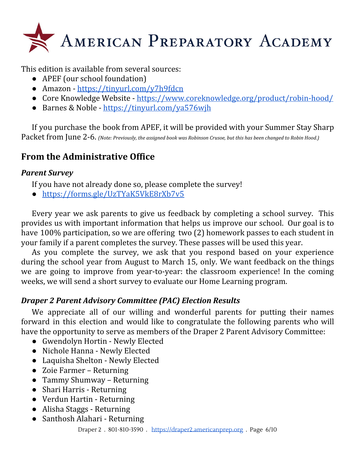

This edition is available from several sources:

- APEF (our school foundation)
- Amazon <https://tinyurl.com/y7h9fdcn>
- Core Knowledge Website <https://www.coreknowledge.org/product/robin-hood/>
- Barnes & Noble <https://tinyurl.com/ya576wjh>

If you purchase the book from APEF, it will be provided with your Summer Stay Sharp Packet from June 2-6. *(Note: Previously, the assigned book was Robinson Crusoe, but this has been changed to Robin Hood.)*

## **From the Administrative Office**

#### *Parent Survey*

If you have not already done so, please complete the survey!

● <https://forms.gle/UzTYaK5VkE8rXb7v5>

Every year we ask parents to give us feedback by completing a school survey. This provides us with important information that helps us improve our school. Our goal is to have 100% participation, so we are offering two (2) homework passes to each student in your family if a parent completes the survey. These passes will be used this year.

As you complete the survey, we ask that you respond based on your experience during the school year from August to March 15, only. We want feedback on the things we are going to improve from year-to-year: the classroom experience! In the coming weeks, we will send a short survey to evaluate our Home Learning program.

### *Draper 2 Parent Advisory Committee (PAC) Election Results*

We appreciate all of our willing and wonderful parents for putting their names forward in this election and would like to congratulate the following parents who will have the opportunity to serve as members of the Draper 2 Parent Advisory Committee:

- Gwendolyn Hortin Newly Elected
- Nichole Hanna Newly Elected
- Laquisha Shelton Newly Elected
- Zoie Farmer Returning
- Tammy Shumway Returning
- Shari Harris Returning
- Verdun Hartin Returning
- Alisha Staggs Returning
- Santhosh Alahari Returning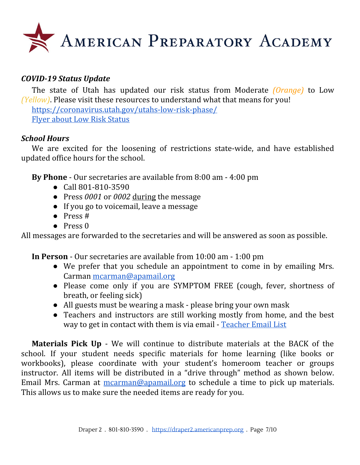

#### *COVID-19 Status Update*

The state of Utah has updated our risk status from Moderate *(Orange)* to Low *(Yellow)*. Please visit these resources to understand what that means for you! <https://coronavirus.utah.gov/utahs-low-risk-phase/> Flyer about Low Risk [Status](https://coronavirus-download.utah.gov/business/Yellow/Utahs_Low_Risk_Phase_Flyer_English.pdf)

#### *School Hours*

We are excited for the loosening of restrictions state-wide, and have established updated office hours for the school.

**By Phone** - Our secretaries are available from 8:00 am - 4:00 pm

- Call 801-810-3590
- Press *0001* or *0002* during the message
- If you go to voicemail, leave a message
- Press #
- Press 0

All messages are forwarded to the secretaries and will be answered as soon as possible.

**In Person** - Our secretaries are available from 10:00 am - 1:00 pm

- We prefer that you schedule an appointment to come in by emailing Mrs. Carman [mcarman@apamail.org](mailto:mcarman@apamail.org)
- Please come only if you are SYMPTOM FREE (cough, fever, shortness of breath, or feeling sick)
- All guests must be wearing a mask please bring your own mask
- Teachers and instructors are still working mostly from home, and the best way to get in contact with them is via email - [Teacher](https://draper2.americanprep.org/wp-content/uploads/sites/3/2020/03/D2-Staff-List-2019_2020.pdf) Email List

**Materials Pick Up** - We will continue to distribute materials at the BACK of the school. If your student needs specific materials for home learning (like books or workbooks), please coordinate with your student's homeroom teacher or groups instructor. All items will be distributed in a "drive through" method as shown below. Email Mrs. Carman at [mcarman@apamail.org](mailto:mcarman@apamail.org) to schedule a time to pick up materials. This allows us to make sure the needed items are ready for you.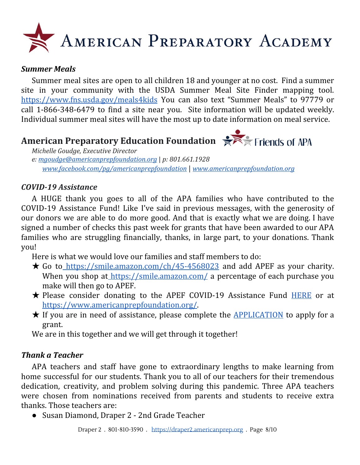# AMERICAN PREPARATORY ACADEMY

#### *Summer Meals*

Summer meal sites are open to all children 18 and younger at no cost. Find a summer site in your community with the USDA Summer Meal Site Finder mapping tool. <https://www.fns.usda.gov/meals4kids> You can also text "Summer Meals" to 97779 or call 1-866-348-6479 to find a site near you. Site information will be updated weekly. Individual summer meal sites will have the most up to date information on meal service.

# **American Preparatory Education Foundation**  $\mathbb{R}$  **Fiends** of APA



*Michelle Goudge, Executive Director e: [mgoudge@americanprepfoundation.org](mailto:mgoudge@americanprepfoundation.org)* | *p: 801.661.1928 [www.facebook.com/pg/americanprepfoundation](http://www.facebook.com/pg/americanprepfoundation)* | *[www.americanprepfoundation.org](http://www.americanprepfoundation.org/)*

#### *COVID-19 Assistance*

A HUGE thank you goes to all of the APA families who have contributed to the COVID-19 Assistance Fund! Like I've said in previous messages, with the generosity of our donors we are able to do more good. And that is exactly what we are doing. I have signed a number of checks this past week for grants that have been awarded to our APA families who are struggling financially, thanks, in large part, to your donations. Thank you!

Here is what we would love our families and staff members to do:

- $\star$  Go to <https://smile.amazon.com/ch/45-4568023> and add APEF as your charity. When you shop at <https://smile.amazon.com/> a percentage of each purchase you make will then go to APEF.
- **★ Please consider donating to the APEF COVID-19 Assistance Fund [HERE](https://app.moonclerk.com/pay/2r6mz46rbri7) or a[t](https://www.americanprepfoundation.org/)** <https://www.americanprepfoundation.org/>.
- **★** If you are in need of assistance, please complete the **[APPLICATION](https://docs.google.com/spreadsheets/u/2/d/1nn7B0brlNYgovj2QrkCK-tph90wa4axMuSBG0L0AuUM/copy)** to apply for a grant.

We are in this together and we will get through it together!

#### *Thank a Teacher*

APA teachers and staff have gone to extraordinary lengths to make learning from home successful for our students. Thank you to all of our teachers for their tremendous dedication, creativity, and problem solving during this pandemic. Three APA teachers were chosen from nominations received from parents and students to receive extra thanks. Those teachers are:

● Susan Diamond, Draper 2 - 2nd Grade Teacher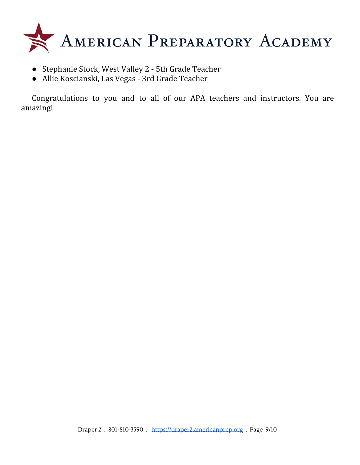

- Stephanie Stock, West Valley 2 5th Grade Teacher
- Allie Koscianski, Las Vegas 3rd Grade Teacher

Congratulations to you and to all of our APA teachers and instructors. You are amazing!